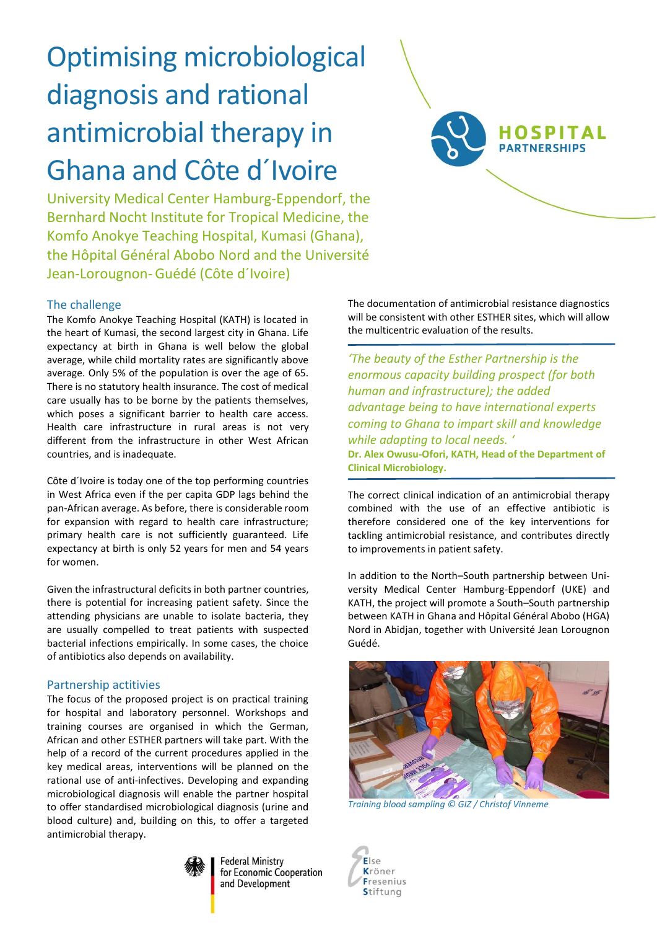# Optimising microbiological diagnosis and rational antimicrobial therapy in Ghana and Côte d´Ivoire

University Medical Center Hamburg-Eppendorf, the Bernhard Nocht Institute for Tropical Medicine, the Komfo Anokye Teaching Hospital, Kumasi (Ghana), the Hôpital Général Abobo Nord and the Université Jean-Lorougnon-Guédé (Côte d´Ivoire)

## The challenge

The Komfo Anokye Teaching Hospital (KATH) is located in the heart of Kumasi, the second largest city in Ghana. Life expectancy at birth in Ghana is well below the global average, while child mortality rates are significantly above average. Only 5% of the population is over the age of 65. There is no statutory health insurance. The cost of medical care usually has to be borne by the patients themselves, which poses a significant barrier to health care access. Health care infrastructure in rural areas is not very different from the infrastructure in other West African countries, and is inadequate.

Côte d´Ivoire is today one of the top performing countries in West Africa even if the per capita GDP lags behind the pan-African average. As before, there is considerable room for expansion with regard to health care infrastructure; primary health care is not sufficiently guaranteed. Life expectancy at birth is only 52 years for men and 54 years for women.

Given the infrastructural deficits in both partner countries, there is potential for increasing patient safety. Since the attending physicians are unable to isolate bacteria, they are usually compelled to treat patients with suspected bacterial infections empirically. In some cases, the choice of antibiotics also depends on availability.

## Partnership actitivies

The focus of the proposed project is on practical training for hospital and laboratory personnel. Workshops and training courses are organised in which the German, African and other ESTHER partners will take part. With the help of a record of the current procedures applied in the key medical areas, interventions will be planned on the rational use of anti-infectives. Developing and expanding microbiological diagnosis will enable the partner hospital to offer standardised microbiological diagnosis (urine and blood culture) and, building on this, to offer a targeted antimicrobial therapy.



**Federal Ministry** for Economic Cooperation and Development

The documentation of antimicrobial resistance diagnostics will be consistent with other ESTHER sites, which will allow the multicentric evaluation of the results.

**HOSPITAL PARTNERSHIPS** 

*'The beauty of the Esther Partnership is the enormous capacity building prospect (for both human and infrastructure); the added advantage being to have international experts coming to Ghana to impart skill and knowledge while adapting to local needs. '* **Dr. Alex Owusu-Ofori, KATH, Head of the Department of Clinical Microbiology.**

The correct clinical indication of an antimicrobial therapy combined with the use of an effective antibiotic is therefore considered one of the key interventions for tackling antimicrobial resistance, and contributes directly to improvements in patient safety.

In addition to the North–South partnership between University Medical Center Hamburg-Eppendorf (UKE) and KATH, the project will promote a South–South partnership between KATH in Ghana and Hôpital Général Abobo (HGA) Nord in Abidjan, together with Université Jean Lorougnon Guédé.



*Training blood sampling © GIZ / Christof Vinneme*